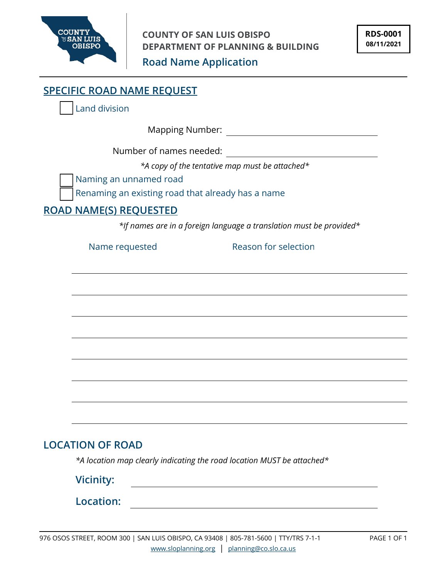

# **Road Name Application**

## **SPECIFIC ROAD NAME REQUEST**

Land division

Mapping Number:

Number of names needed:

*\*A copy of the tentative map must be attached\**

Naming an unnamed road

Renaming an existing road that already has a name

### **ROAD NAME(S) REQUESTED**

*\*If names are in a foreign language a translation must be provided\**

Name requested Reason for selection

### **LOCATION OF ROAD**

*\*A location map clearly indicating the road location MUST be attached\**

**Vicinity:**

**Location:**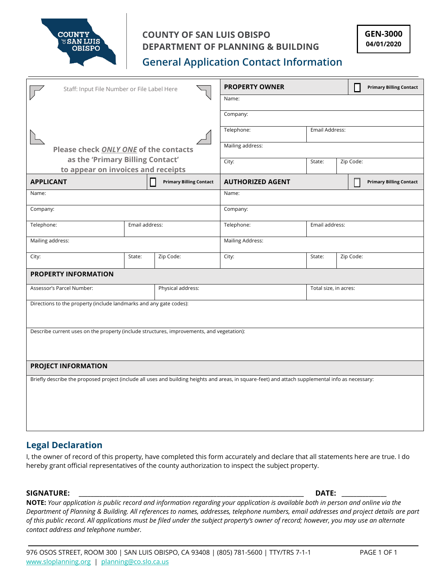

### **COUNTY OF SAN LUIS OBISPO DEPARTMENT OF PLANNING & BUILDING**

# **General Application Contact Information**

| Staff: Input File Number or File Label Here                                                                                                        |                  |                                | <b>PROPERTY OWNER</b>   |                     |                       | <b>Primary Billing Contact</b><br>$\mathcal{L}$ |  |
|----------------------------------------------------------------------------------------------------------------------------------------------------|------------------|--------------------------------|-------------------------|---------------------|-----------------------|-------------------------------------------------|--|
|                                                                                                                                                    |                  |                                | Name:                   |                     |                       |                                                 |  |
|                                                                                                                                                    |                  |                                | Company:                |                     |                       |                                                 |  |
|                                                                                                                                                    |                  |                                | Telephone:              | Email Address:      |                       |                                                 |  |
| Please check ONLY ONE of the contacts                                                                                                              | Mailing address: |                                |                         |                     |                       |                                                 |  |
| as the 'Primary Billing Contact'                                                                                                                   |                  |                                | City:                   | Zip Code:<br>State: |                       |                                                 |  |
| to appear on invoices and receipts                                                                                                                 |                  |                                |                         |                     |                       |                                                 |  |
| <b>APPLICANT</b>                                                                                                                                   |                  | <b>Primary Billing Contact</b> | <b>AUTHORIZED AGENT</b> |                     |                       | <b>Primary Billing Contact</b><br>$\sim$        |  |
| Name:                                                                                                                                              | Name:            |                                |                         |                     |                       |                                                 |  |
| Company:                                                                                                                                           |                  |                                | Company:                |                     |                       |                                                 |  |
| Telephone:                                                                                                                                         | Email address:   |                                | Telephone:              | Email address:      |                       |                                                 |  |
| Mailing address:                                                                                                                                   |                  |                                | <b>Mailing Address:</b> |                     |                       |                                                 |  |
| City:                                                                                                                                              | State:           | Zip Code:                      | City:                   | State:<br>Zip Code: |                       |                                                 |  |
| <b>PROPERTY INFORMATION</b>                                                                                                                        |                  |                                |                         |                     |                       |                                                 |  |
| Assessor's Parcel Number:                                                                                                                          |                  | Physical address:              |                         |                     | Total size, in acres: |                                                 |  |
| Directions to the property (include landmarks and any gate codes):                                                                                 |                  |                                |                         |                     |                       |                                                 |  |
|                                                                                                                                                    |                  |                                |                         |                     |                       |                                                 |  |
| Describe current uses on the property (include structures, improvements, and vegetation):                                                          |                  |                                |                         |                     |                       |                                                 |  |
|                                                                                                                                                    |                  |                                |                         |                     |                       |                                                 |  |
|                                                                                                                                                    |                  |                                |                         |                     |                       |                                                 |  |
| <b>PROJECT INFORMATION</b>                                                                                                                         |                  |                                |                         |                     |                       |                                                 |  |
| Briefly describe the proposed project (include all uses and building heights and areas, in square-feet) and attach supplemental info as necessary: |                  |                                |                         |                     |                       |                                                 |  |
|                                                                                                                                                    |                  |                                |                         |                     |                       |                                                 |  |
|                                                                                                                                                    |                  |                                |                         |                     |                       |                                                 |  |
|                                                                                                                                                    |                  |                                |                         |                     |                       |                                                 |  |

#### **Legal Declaration**

I, the owner of record of this property, have completed this form accurately and declare that all statements here are true. I do hereby grant official representatives of the county authorization to inspect the subject property.

#### **SIGNATURE: \_\_\_\_\_\_\_\_\_\_\_\_\_\_\_\_\_\_\_\_\_\_\_\_\_\_\_\_\_\_\_\_\_\_\_\_\_\_\_\_\_\_\_\_\_\_\_\_\_\_\_\_\_\_\_\_\_\_\_\_\_\_\_\_\_\_\_\_\_\_\_\_\_\_\_ DATE: \_\_\_\_\_\_\_\_\_\_\_\_\_\_\_**

**NOTE:** *Your application is public record and information regarding your application is available both in person and online via the Department of Planning & Building. All references to names, addresses, telephone numbers, email addresses and project details are part of this public record. All applications must be filed under the subject property's owner of record; however, you may use an alternate contact address and telephone number.*